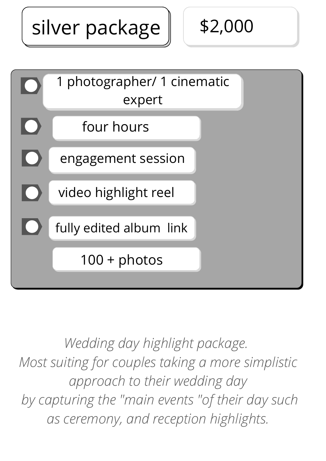silver package | | \$2,000

\$2,000



*Wedding day highlight package. Most suiting for couples taking a more simplistic approach to their wedding day by capturing the "main events "of their day such as ceremony, and reception highlights.*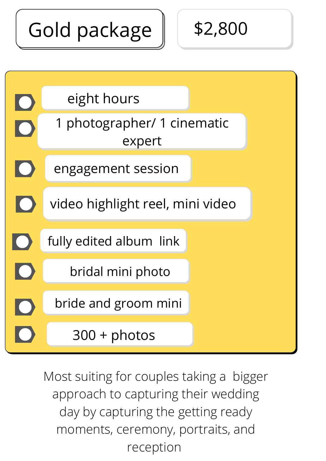## Gold package

\$2,800



Most suiting for couples taking a bigger approach to capturing their wedding day by capturing the getting ready moments, ceremony, portraits, and reception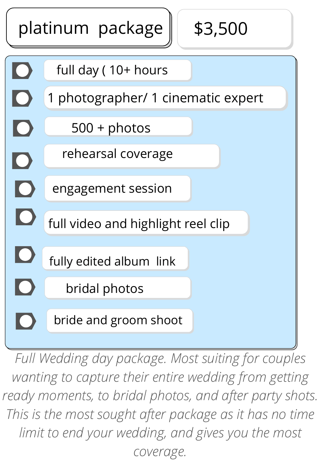

*Full Wedding day package. Most suiting for couples wanting to capture their entire wedding from getting ready moments, to bridal photos, and after party shots. This is the most sought after package as it has no time limit to end your wedding, and gives you the most coverage.*